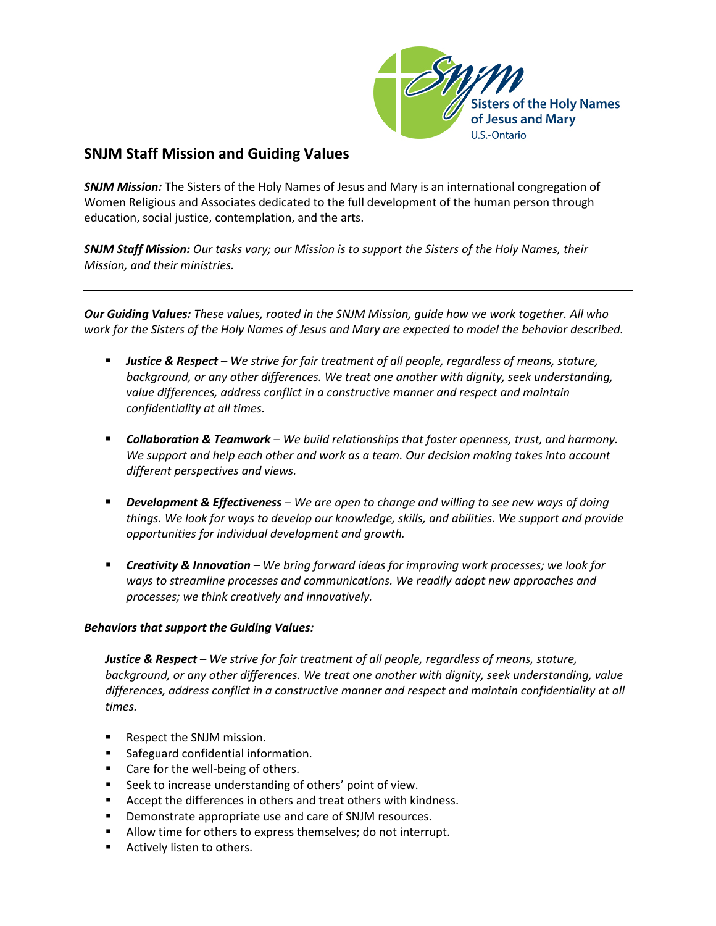

## **SNJM Staff Mission and Guiding Values**

*SNJM Mission:* The Sisters of the Holy Names of Jesus and Mary is an international congregation of Women Religious and Associates dedicated to the full development of the human person through education, social justice, contemplation, and the arts.

*SNJM Staff Mission: Our tasks vary; our Mission is to support the Sisters of the Holy Names, their Mission, and their ministries.*

*Our Guiding Values: These values, rooted in the SNJM Mission, guide how we work together. All who work for the Sisters of the Holy Names of Jesus and Mary are expected to model the behavior described.*

- *Justice & Respect – We strive for fair treatment of all people, regardless of means, stature, background, or any other differences. We treat one another with dignity, seek understanding, value differences, address conflict in a constructive manner and respect and maintain confidentiality at all times.*
- *Collaboration & Teamwork – We build relationships that foster openness, trust, and harmony. We support and help each other and work as a team. Our decision making takes into account different perspectives and views.*
- *Development & Effectiveness – We are open to change and willing to see new ways of doing things. We look for ways to develop our knowledge, skills, and abilities. We support and provide opportunities for individual development and growth.*
- *Creativity & Innovation – We bring forward ideas for improving work processes; we look for ways to streamline processes and communications. We readily adopt new approaches and processes; we think creatively and innovatively.*

## *Behaviors that support the Guiding Values:*

*Justice & Respect – We strive for fair treatment of all people, regardless of means, stature, background, or any other differences. We treat one another with dignity, seek understanding, value differences, address conflict in a constructive manner and respect and maintain confidentiality at all times.*

- Respect the SNJM mission.
- **Safeguard confidential information.**
- Care for the well-being of others.
- **Seek to increase understanding of others' point of view.**
- Accept the differences in others and treat others with kindness.
- **Demonstrate appropriate use and care of SNJM resources.**
- Allow time for others to express themselves; do not interrupt.
- **Actively listen to others.**